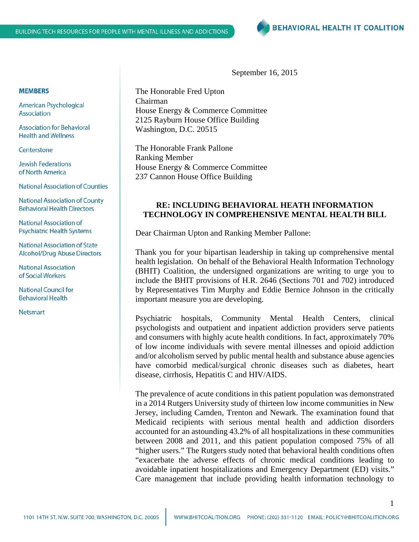September 16, 2015

The Honorable Fred Upton Chairman House Energy & Commerce Committee 2125 Rayburn House Office Building Washington, D.C. 20515

The Honorable Frank Pallone Ranking Member House Energy & Commerce Committee 237 Cannon House Office Building

## **RE: INCLUDING BEHAVIORAL HEATH INFORMATION TECHNOLOGY IN COMPREHENSIVE MENTAL HEALTH BILL**

Dear Chairman Upton and Ranking Member Pallone:

Thank you for your bipartisan leadership in taking up comprehensive mental health legislation. On behalf of the Behavioral Health Information Technology (BHIT) Coalition, the undersigned organizations are writing to urge you to include the BHIT provisions of H.R. 2646 (Sections 701 and 702) introduced by Representatives Tim Murphy and Eddie Bernice Johnson in the critically important measure you are developing.

Psychiatric hospitals, Community Mental Health Centers, clinical psychologists and outpatient and inpatient addiction providers serve patients and consumers with highly acute health conditions. In fact, approximately 70% of low income individuals with severe mental illnesses and opioid addiction and/or alcoholism served by public mental health and substance abuse agencies have comorbid medical/surgical chronic diseases such as diabetes, heart disease, cirrhosis, Hepatitis C and HIV/AIDS.

The prevalence of acute conditions in this patient population was demonstrated in a 2014 Rutgers University study of thirteen low income communities in New Jersey, including Camden, Trenton and Newark. The examination found that Medicaid recipients with serious mental health and addiction disorders accounted for an astounding 43.2% of all hospitalizations in these communities between 2008 and 2011, and this patient population composed 75% of all "higher users." The Rutgers study noted that behavioral health conditions often "exacerbate the adverse effects of chronic medical conditions leading to avoidable inpatient hospitalizations and Emergency Department (ED) visits." Care management that include providing health information technology to

#### **MEMBERS**

American Psychological Association

**Association for Behavioral Health and Wellness** 

Centerstone

**Jewish Federations** of North America

**National Association of Counties** 

**National Association of County Behavioral Health Directors** 

National Association of **Psychiatric Health Systems** 

**National Association of State** Alcohol/Drug Abuse Directors

**National Association** of Social Workers

**National Council for Behavioral Health** 

Netsmart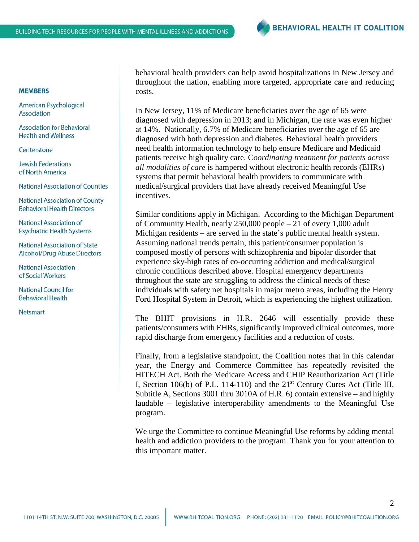### **MEMBERS**

American Psychological Association

**Association for Behavioral Health and Wellness** 

Centerstone

**Jewish Federations** of North America

**National Association of Counties** 

**National Association of County Behavioral Health Directors** 

National Association of **Psychiatric Health Systems** 

National Association of State Alcohol/Drug Abuse Directors

**National Association** of Social Workers

**National Council for Behavioral Health** 

Netsmart

behavioral health providers can help avoid hospitalizations in New Jersey and throughout the nation, enabling more targeted, appropriate care and reducing costs.

In New Jersey, 11% of Medicare beneficiaries over the age of 65 were diagnosed with depression in 2013; and in Michigan, the rate was even higher at 14%. Nationally, 6.7% of Medicare beneficiaries over the age of 65 are diagnosed with both depression and diabetes. Behavioral health providers need health information technology to help ensure Medicare and Medicaid patients receive high quality care. C*oordinating treatment for patients across all modalities of care* is hampered without electronic health records (EHRs) systems that permit behavioral health providers to communicate with medical/surgical providers that have already received Meaningful Use incentives.

Similar conditions apply in Michigan. According to the Michigan Department of Community Health, nearly 250,000 people – 21 of every 1,000 adult Michigan residents – are served in the state's public mental health system. Assuming national trends pertain, this patient/consumer population is composed mostly of persons with schizophrenia and bipolar disorder that experience sky-high rates of co-occurring addiction and medical/surgical chronic conditions described above. Hospital emergency departments throughout the state are struggling to address the clinical needs of these individuals with safety net hospitals in major metro areas, including the Henry Ford Hospital System in Detroit, which is experiencing the highest utilization.

The BHIT provisions in H.R. 2646 will essentially provide these patients/consumers with EHRs, significantly improved clinical outcomes, more rapid discharge from emergency facilities and a reduction of costs.

Finally, from a legislative standpoint, the Coalition notes that in this calendar year, the Energy and Commerce Committee has repeatedly revisited the HITECH Act. Both the Medicare Access and CHIP Reauthorization Act (Title I, Section 106(b) of P.L. 114-110) and the  $21<sup>st</sup>$  Century Cures Act (Title III, Subtitle A, Sections 3001 thru 3010A of H.R. 6) contain extensive – and highly laudable – legislative interoperability amendments to the Meaningful Use program.

We urge the Committee to continue Meaningful Use reforms by adding mental health and addiction providers to the program. Thank you for your attention to this important matter.